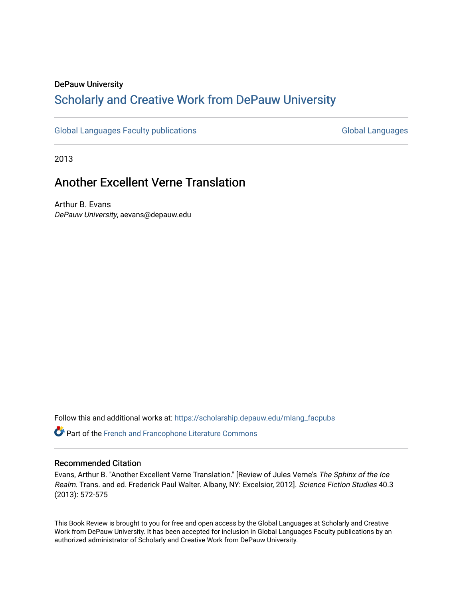### DePauw University

# Scholarly and [Creative Work from DePauw Univ](https://scholarship.depauw.edu/)ersity

[Global Languages Faculty publications](https://scholarship.depauw.edu/mlang_facpubs) [Global Languages](https://scholarship.depauw.edu/modernlanguages) Global Languages

2013

# Another Excellent Verne Translation

Arthur B. Evans DePauw University, aevans@depauw.edu

Follow this and additional works at: [https://scholarship.depauw.edu/mlang\\_facpubs](https://scholarship.depauw.edu/mlang_facpubs?utm_source=scholarship.depauw.edu%2Fmlang_facpubs%2F62&utm_medium=PDF&utm_campaign=PDFCoverPages)

**C** Part of the French and Francophone Literature Commons

#### Recommended Citation

Evans, Arthur B. "Another Excellent Verne Translation." [Review of Jules Verne's The Sphinx of the Ice Realm. Trans. and ed. Frederick Paul Walter. Albany, NY: Excelsior, 2012]. Science Fiction Studies 40.3 (2013): 572-575

This Book Review is brought to you for free and open access by the Global Languages at Scholarly and Creative Work from DePauw University. It has been accepted for inclusion in Global Languages Faculty publications by an authorized administrator of Scholarly and Creative Work from DePauw University.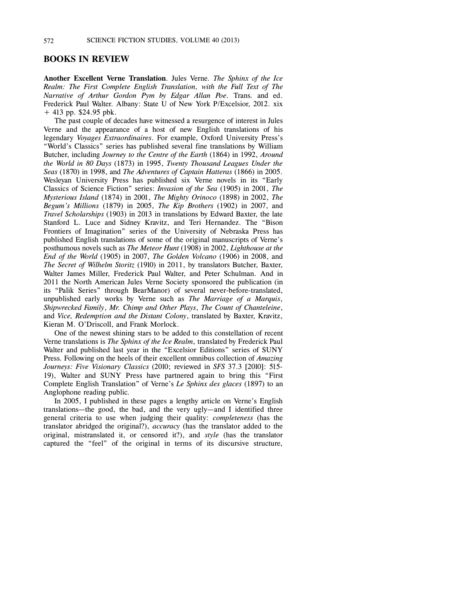#### **BOOKS IN REVIEW**

**Another Excellent Verne Translation**. Jules Verne. *The Sphinx of the Ice Realm: The First Complete English Translation, with the Full Text of The Narrative of Arthur Gordon Pym by Edgar Allan Poe*. Trans. and ed. Frederick Paul Walter. Albany: State U of New York P/Excelsior, 2012. xix + 413 pp. \$24.95 pbk.

The past couple of decades have witnessed a resurgence of interest in Jules Verne and the appearance of a host of new English translations of his legendary *Voyages Extraordinaires*. For example, Oxford University Press's "World's Classics" series has published several fine translations by William Butcher, including *Journey to the Centre of the Earth* (1864) in 1992, *Around the World in 80 Days* (1873) in 1995, *Twenty Thousand Leagues Under the Seas* (1870) in 1998, and *The Adventures of Captain Hatteras* (1866) in 2005. Wesleyan University Press has published six Verne novels in its "Early Classics of Science Fiction" series: *Invasion of the Sea* (1905) in 2001, *The Mysterious Island* (1874) in 2001, *The Mighty Orinoco* (1898) in 2002, *The Begum's Millions* (1879) in 2005, *The Kip Brothers* (1902) in 2007, and *Travel Scholarships* (1903) in 2013 in translations by Edward Baxter, the late Stanford L. Luce and Sidney Kravitz, and Teri Hernandez. The "Bison Frontiers of Imagination" series of the University of Nebraska Press has published English translations of some of the original manuscripts of Verne's posthumous novels such as *The Meteor Hunt* (1908) in 2002, *Lighthouse at the End of the World* (1905) in 2007, *The Golden Volcano* (1906) in 2008, and *The Secret of Wilhelm Storitz* (1910) in 2011, by translators Butcher, Baxter, Walter James Miller, Frederick Paul Walter, and Peter Schulman. And in 2011 the North American Jules Verne Society sponsored the publication (in its "Palik Series" through BearManor) of several never-before-translated, unpublished early works by Verne such as *The Marriage of a Marquis*, *Shipwrecked Family*, *Mr. Chimp and Other Plays*, *The Count of Chanteleine*, and *Vice, Redemption and the Distant Colony*, translated by Baxter, Kravitz, Kieran M. O'Driscoll, and Frank Morlock.

One of the newest shining stars to be added to this constellation of recent Verne translations is *The Sphinx of the Ice Realm*, translated by Frederick Paul Walter and published last year in the "Excelsior Editions" series of SUNY Press. Following on the heels of their excellent omnibus collection of *Amazing Journeys: Five Visionary Classics* (2010; reviewed in *SFS* 37.3 [2010]: 515- 19), Walter and SUNY Press have partnered again to bring this "First Complete English Translation" of Verne's *Le Sphinx des glaces* (1897) to an Anglophone reading public.

In 2005, I published in these pages a lengthy article on Verne's English translations—the good, the bad, and the very ugly—and I identified three general criteria to use when judging their quality: *completeness* (has the translator abridged the original?), *accuracy* (has the translator added to the original, mistranslated it, or censored it?), and *style* (has the translator captured the "feel" of the original in terms of its discursive structure,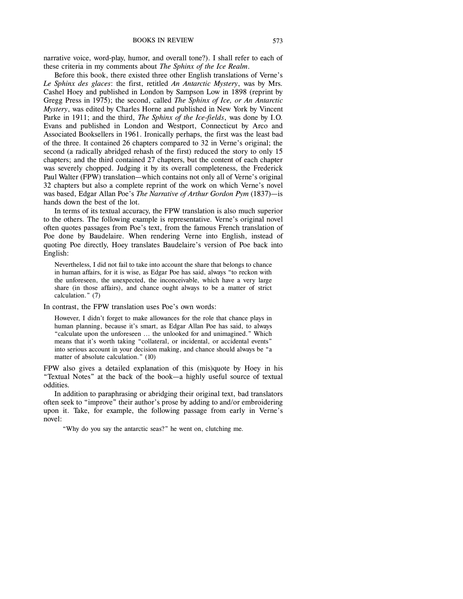narrative voice, word-play, humor, and overall tone?). I shall refer to each of these criteria in my comments about *The Sphinx of the Ice Realm*.

Before this book, there existed three other English translations of Verne's *Le Sphinx des glaces*: the first, retitled *An Antarctic Mystery*, was by Mrs. Cashel Hoey and published in London by Sampson Low in 1898 (reprint by Gregg Press in 1975); the second, called *The Sphinx of Ice, or An Antarctic Mystery*, was edited by Charles Horne and published in New York by Vincent Parke in 1911; and the third, *The Sphinx of the Ice-fields*, was done by I.O. Evans and published in London and Westport, Connecticut by Arco and Associated Booksellers in 1961. Ironically perhaps, the first was the least bad of the three. It contained 26 chapters compared to 32 in Verne's original; the second (a radically abridged rehash of the first) reduced the story to only 15 chapters; and the third contained 27 chapters, but the content of each chapter was severely chopped. Judging it by its overall completeness, the Frederick Paul Walter (FPW) translation—which contains not only all of Verne's original 32 chapters but also a complete reprint of the work on which Verne's novel was based, Edgar Allan Poe's *The Narrative of Arthur Gordon Pym* (1837)—is hands down the best of the lot.

In terms of its textual accuracy, the FPW translation is also much superior to the others. The following example is representative. Verne's original novel often quotes passages from Poe's text, from the famous French translation of Poe done by Baudelaire. When rendering Verne into English, instead of quoting Poe directly, Hoey translates Baudelaire's version of Poe back into English:

Nevertheless, I did not fail to take into account the share that belongs to chance in human affairs, for it is wise, as Edgar Poe has said, always "to reckon with the unforeseen, the unexpected, the inconceivable, which have a very large share (in those affairs), and chance ought always to be a matter of strict calculation." (7)

In contrast, the FPW translation uses Poe's own words:

However, I didn't forget to make allowances for the role that chance plays in human planning, because it's smart, as Edgar Allan Poe has said, to always "calculate upon the unforeseen ... the unlooked for and unimagined." Which means that it's worth taking "collateral, or incidental, or accidental events" into serious account in your decision making, and chance should always be "a matter of absolute calculation." (10)

FPW also gives a detailed explanation of this (mis)quote by Hoey in his "Textual Notes" at the back of the book—a highly useful source of textual oddities.

In addition to paraphrasing or abridging their original text, bad translators often seek to "improve" their author's prose by adding to and/or embroidering upon it. Take, for example, the following passage from early in Verne's novel:

"Why do you say the antarctic seas?" he went on, clutching me.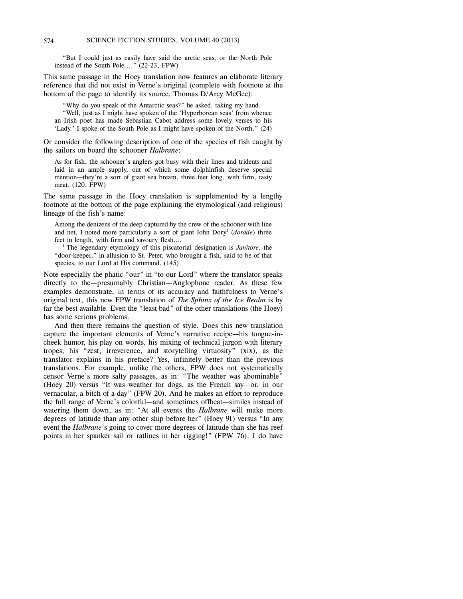"But I could just as easily have said the arctic seas, or the North Pole instead of the South Pole...." (22-23, FPW)

This same passage in the Hoey translation now features an elaborate literary reference that did not exist in Verne's original (complete with footnote at the bottom of the page to identify its source, Thomas D/Arcy McGee):

"Why do you speak of the Antarctic seas?" he asked, taking my hand. "Well, just as I might have spoken of the 'Hyperborean seas' from whence an Irish poet has made Sebastian Cabot address some lovely verses to his 'Lady.' I spoke of the South Pole as I might have spoken of the North." (24)

Or consider the following description of one of the species of fish caught by the sailors on board the schooner *Halbrane*:

As for fish, the schooner's anglers got busy with their lines and tridents and laid in an ample supply, out of which some dolphinfish deserve special mention—they're a sort of giant sea bream, three feet long, with firm, tasty meat. (120, FPW)

The same passage in the Hoey translation is supplemented by a lengthy footnote at the bottom of the page explaining the etymological (and religious) lineage of the fish's name:

Among the denizens of the deep captured by the crew of the schooner with line and net, I noted more particularly a sort of giant John Dory<sup>1</sup> (dorade) three feet in length, with firm and savoury flesh….

<sup>1</sup> The legendary etymology of this piscatorial designation is *Janitore*, the "door-keeper," in allusion to St. Peter, who brought a fish, said to be of that species, to our Lord at His command. (145)

Note especially the phatic "our" in "to our Lord" where the translator speaks directly to the—presumably Christian—Anglophone reader. As these few examples demonstrate, in terms of its accuracy and faithfulness to Verne's original text, this new FPW translation of *The Sphinx of the Ice Realm* is by far the best available. Even the "least bad" of the other translations (the Hoey) has some serious problems.

And then there remains the question of style. Does this new translation capture the important elements of Verne's narrative recipe—his tongue-incheek humor, his play on words, his mixing of technical jargon with literary tropes, his "zest, irreverence, and storytelling virtuosity" (xix), as the translator explains in his preface? Yes, infinitely better than the previous translations. For example, unlike the others, FPW does not systematically censor Verne's more salty passages, as in: "The weather was abominable" (Hoey 20) versus "It was weather for dogs, as the French say—or, in our vernacular, a bitch of a day" (FPW 20). And he makes an effort to reproduce the full range of Verne's colorful—and sometimes offbeat—similes instead of watering them down, as in: "At all events the *Halbrane* will make more degrees of latitude than any other ship before her" (Hoey 91) versus "In any event the *Halbrane*'s going to cover more degrees of latitude than she has reef points in her spanker sail or ratlines in her rigging!" (FPW 76). I do have